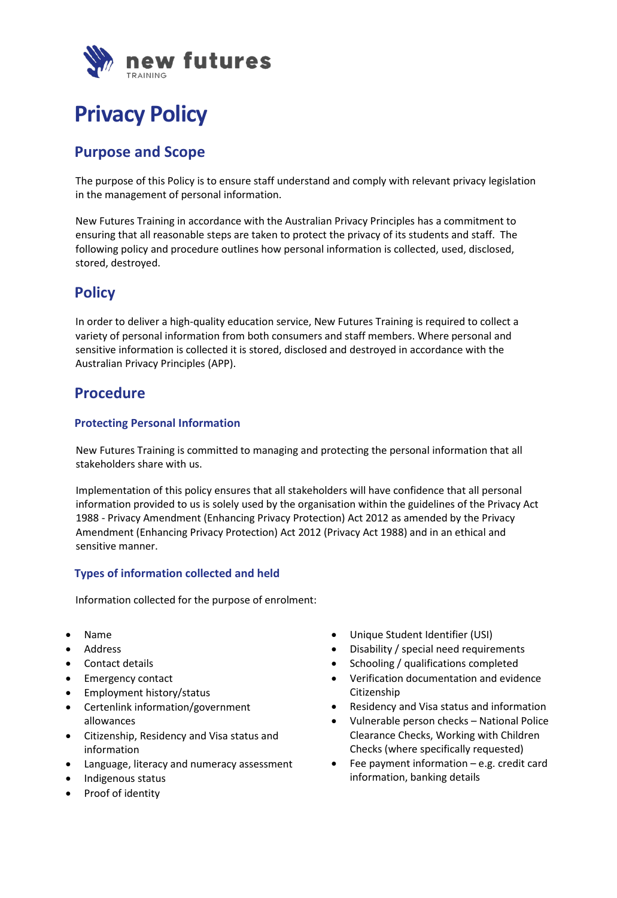

# **Privacy Policy**

# **Purpose and Scope**

The purpose of this Policy is to ensure staff understand and comply with relevant privacy legislation in the management of personal information.

New Futures Training in accordance with the Australian Privacy Principles has a commitment to ensuring that all reasonable steps are taken to protect the privacy of its students and staff. The following policy and procedure outlines how personal information is collected, used, disclosed, stored, destroyed.

### **Policy**

In order to deliver a high-quality education service, New Futures Training is required to collect a variety of personal information from both consumers and staff members. Where personal and sensitive information is collected it is stored, disclosed and destroyed in accordance with the Australian Privacy Principles (APP).

### **Procedure**

#### **Protecting Personal Information**

New Futures Training is committed to managing and protecting the personal information that all stakeholders share with us.

Implementation of this policy ensures that all stakeholders will have confidence that all personal information provided to us is solely used by the organisation within the guidelines of the Privacy Act 1988 - Privacy Amendment (Enhancing Privacy Protection) Act 2012 as amended by the Privacy Amendment (Enhancing Privacy Protection) Act 2012 (Privacy Act 1988) and in an ethical and sensitive manner.

#### **Types of information collected and held**

Information collected for the purpose of enrolment:

- Name
- Address
- Contact details
- Emergency contact
- Employment history/status
- Certenlink information/government allowances
- Citizenship, Residency and Visa status and information
- Language, literacy and numeracy assessment
- Indigenous status
- Proof of identity
- Unique Student Identifier (USI)
- Disability / special need requirements
- Schooling / qualifications completed
- Verification documentation and evidence Citizenship
- Residency and Visa status and information
- Vulnerable person checks National Police Clearance Checks, Working with Children Checks (where specifically requested)
- Fee payment information e.g. credit card information, banking details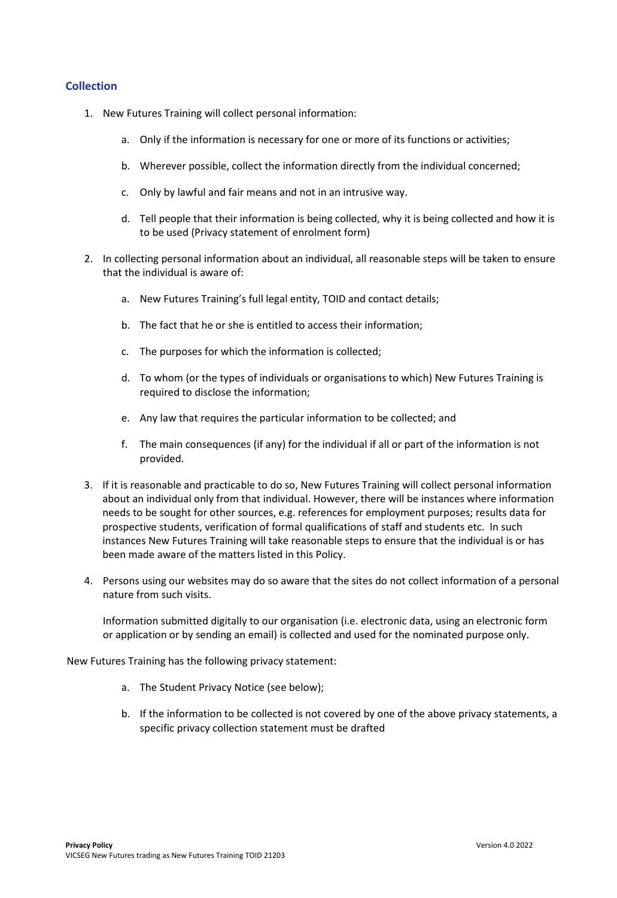#### **Collection**

- 1. New Futures Training will collect personal information:
	- a. Only if the information is necessary for one or more of its functions or activities;
	- b. Wherever possible, collect the information directly from the individual concerned;
	- c. Only by lawful and fair means and not in an intrusive way.
	- d. Tell people that their information is being collected, why it is being collected and how it is to be used (Privacy statement of enrolment form)
- 2. In collecting personal information about an individual, all reasonable steps will be taken to ensure that the individual is aware of:
	- a. New Futures Training's full legal entity, TOID and contact details;
	- b. The fact that he or she is entitled to access their information;
	- c. The purposes for which the information is collected;
	- d. To whom (or the types of individuals or organisations to which) New Futures Training is required to disclose the information;
	- e. Any law that requires the particular information to be collected; and
	- f. The main consequences (if any) for the individual if all or part of the information is not provided.
- 3. If it is reasonable and practicable to do so, New Futures Training will collect personal information about an individual only from that individual. However, there will be instances where information needs to be sought for other sources, e.g. references for employment purposes; results data for prospective students, verification of formal qualifications of staff and students etc. In such instances New Futures Training will take reasonable steps to ensure that the individual is or has been made aware of the matters listed in this Policy.
- 4. Persons using our websites may do so aware that the sites do not collect information of a personal nature from such visits.

Information submitted digitally to our organisation (i.e. electronic data, using an electronic form or application or by sending an email) is collected and used for the nominated purpose only.

New Futures Training has the following privacy statement:

- a. The Student Privacy Notice (see below);
- b. If the information to be collected is not covered by one of the above privacy statements, a specific privacy collection statement must be drafted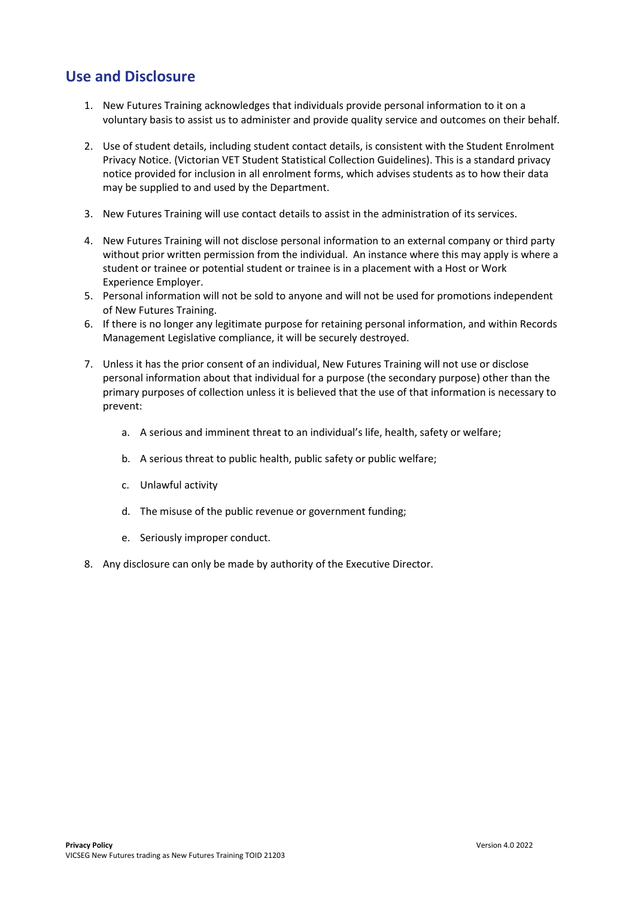# **Use and Disclosure**

- 1. New Futures Training acknowledges that individuals provide personal information to it on a voluntary basis to assist us to administer and provide quality service and outcomes on their behalf.
- 2. Use of student details, including student contact details, is consistent with the Student Enrolment Privacy Notice. (Victorian VET Student Statistical Collection Guidelines). This is a standard privacy notice provided for inclusion in all enrolment forms, which advises students as to how their data may be supplied to and used by the Department.
- 3. New Futures Training will use contact details to assist in the administration of its services.
- 4. New Futures Training will not disclose personal information to an external company or third party without prior written permission from the individual. An instance where this may apply is where a student or trainee or potential student or trainee is in a placement with a Host or Work Experience Employer.
- 5. Personal information will not be sold to anyone and will not be used for promotions independent of New Futures Training.
- 6. If there is no longer any legitimate purpose for retaining personal information, and within Records Management Legislative compliance, it will be securely destroyed.
- 7. Unless it has the prior consent of an individual, New Futures Training will not use or disclose personal information about that individual for a purpose (the secondary purpose) other than the primary purposes of collection unless it is believed that the use of that information is necessary to prevent:
	- a. A serious and imminent threat to an individual's life, health, safety or welfare;
	- b. A serious threat to public health, public safety or public welfare;
	- c. Unlawful activity
	- d. The misuse of the public revenue or government funding;
	- e. Seriously improper conduct.
- 8. Any disclosure can only be made by authority of the Executive Director.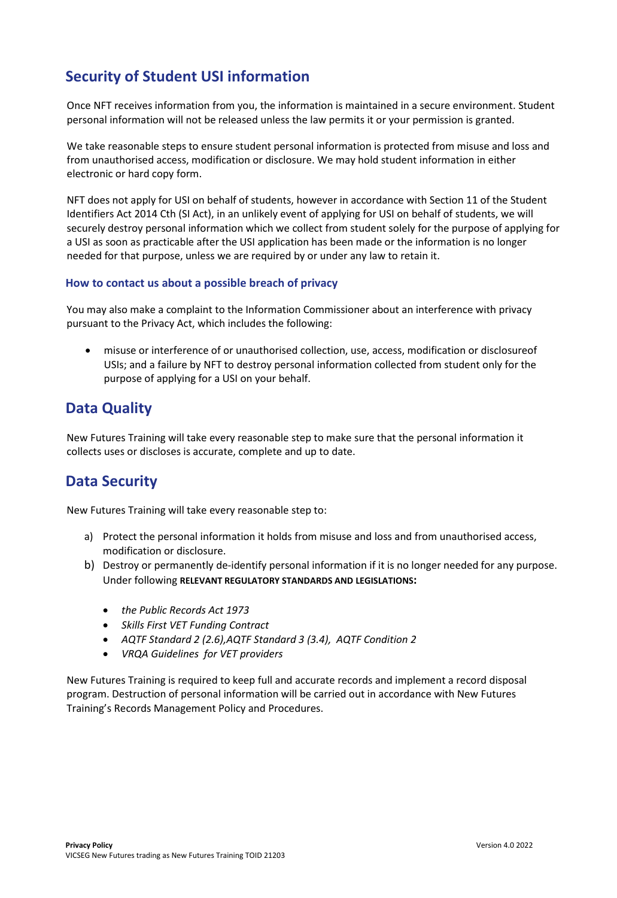# **Security of Student USI information**

Once NFT receives information from you, the information is maintained in a secure environment. Student personal information will not be released unless the law permits it or your permission is granted.

We take reasonable steps to ensure student personal information is protected from misuse and loss and from unauthorised access, modification or disclosure. We may hold student information in either electronic or hard copy form.

NFT does not apply for USI on behalf of students, however in accordance with Section 11 of the Student Identifiers Act 2014 Cth (SI Act), in an unlikely event of applying for USI on behalf of students, we will securely destroy personal information which we collect from student solely for the purpose of applying for a USI as soon as practicable after the USI application has been made or the information is no longer needed for that purpose, unless we are required by or under any law to retain it.

#### **How to contact us about a possible breach of privacy**

You may also make a complaint to the Information Commissioner about an interference with privacy pursuant to the Privacy Act, which includes the following:

• misuse or interference of or unauthorised collection, use, access, modification or disclosureof USIs; and a failure by NFT to destroy personal information collected from student only for the purpose of applying for a USI on your behalf.

### **Data Quality**

New Futures Training will take every reasonable step to make sure that the personal information it collects uses or discloses is accurate, complete and up to date.

### **Data Security**

New Futures Training will take every reasonable step to:

- a) Protect the personal information it holds from misuse and loss and from unauthorised access, modification or disclosure.
- b) Destroy or permanently de-identify personal information if it is no longer needed for any purpose. Under following **RELEVANT REGULATORY STANDARDS AND LEGISLATIONS:**
	- *the Public Records Act 1973*
	- *Skills First VET Funding Contract*
	- *AQTF Standard 2 (2.6),AQTF Standard 3 (3.4), AQTF Condition 2*
	- *VRQA Guidelines for VET providers*

New Futures Training is required to keep full and accurate records and implement a record disposal program. Destruction of personal information will be carried out in accordance with New Futures Training's Records Management Policy and Procedures.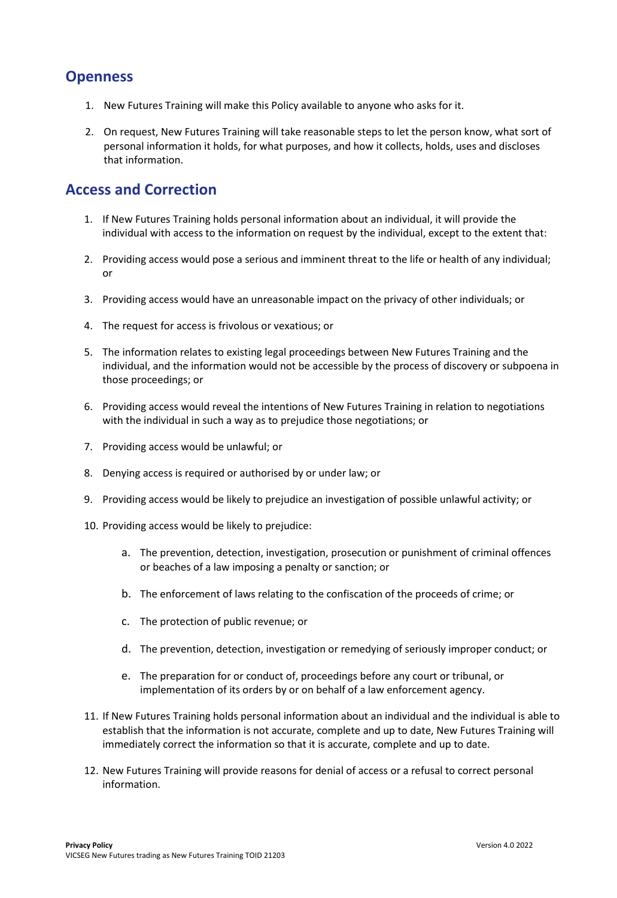### **Openness**

- 1. New Futures Training will make this Policy available to anyone who asks for it.
- 2. On request, New Futures Training will take reasonable steps to let the person know, what sort of personal information it holds, for what purposes, and how it collects, holds, uses and discloses that information.

#### **Access and Correction**

- 1. If New Futures Training holds personal information about an individual, it will provide the individual with access to the information on request by the individual, except to the extent that:
- 2. Providing access would pose a serious and imminent threat to the life or health of any individual; or
- 3. Providing access would have an unreasonable impact on the privacy of other individuals; or
- 4. The request for access is frivolous or vexatious; or
- 5. The information relates to existing legal proceedings between New Futures Training and the individual, and the information would not be accessible by the process of discovery or subpoena in those proceedings; or
- 6. Providing access would reveal the intentions of New Futures Training in relation to negotiations with the individual in such a way as to prejudice those negotiations; or
- 7. Providing access would be unlawful; or
- 8. Denying access is required or authorised by or under law; or
- 9. Providing access would be likely to prejudice an investigation of possible unlawful activity; or
- 10. Providing access would be likely to prejudice:
	- a. The prevention, detection, investigation, prosecution or punishment of criminal offences or beaches of a law imposing a penalty or sanction; or
	- b. The enforcement of laws relating to the confiscation of the proceeds of crime; or
	- c. The protection of public revenue; or
	- d. The prevention, detection, investigation or remedying of seriously improper conduct; or
	- e. The preparation for or conduct of, proceedings before any court or tribunal, or implementation of its orders by or on behalf of a law enforcement agency.
- 11. If New Futures Training holds personal information about an individual and the individual is able to establish that the information is not accurate, complete and up to date, New Futures Training will immediately correct the information so that it is accurate, complete and up to date.
- 12. New Futures Training will provide reasons for denial of access or a refusal to correct personal information.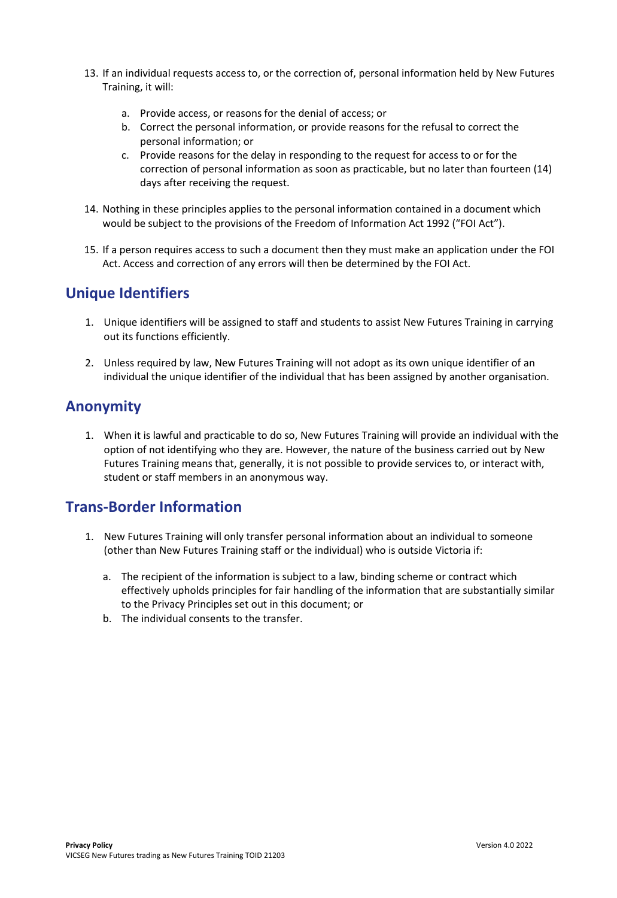- 13. If an individual requests access to, or the correction of, personal information held by New Futures Training, it will:
	- a. Provide access, or reasons for the denial of access; or
	- b. Correct the personal information, or provide reasons for the refusal to correct the personal information; or
	- c. Provide reasons for the delay in responding to the request for access to or for the correction of personal information as soon as practicable, but no later than fourteen (14) days after receiving the request.
- 14. Nothing in these principles applies to the personal information contained in a document which would be subject to the provisions of the Freedom of Information Act 1992 ("FOI Act").
- 15. If a person requires access to such a document then they must make an application under the FOI Act. Access and correction of any errors will then be determined by the FOI Act.

### **Unique Identifiers**

- 1. Unique identifiers will be assigned to staff and students to assist New Futures Training in carrying out its functions efficiently.
- 2. Unless required by law, New Futures Training will not adopt as its own unique identifier of an individual the unique identifier of the individual that has been assigned by another organisation.

### **Anonymity**

1. When it is lawful and practicable to do so, New Futures Training will provide an individual with the option of not identifying who they are. However, the nature of the business carried out by New Futures Training means that, generally, it is not possible to provide services to, or interact with, student or staff members in an anonymous way.

### **Trans-Border Information**

- 1. New Futures Training will only transfer personal information about an individual to someone (other than New Futures Training staff or the individual) who is outside Victoria if:
	- a. The recipient of the information is subject to a law, binding scheme or contract which effectively upholds principles for fair handling of the information that are substantially similar to the Privacy Principles set out in this document; or
	- b. The individual consents to the transfer.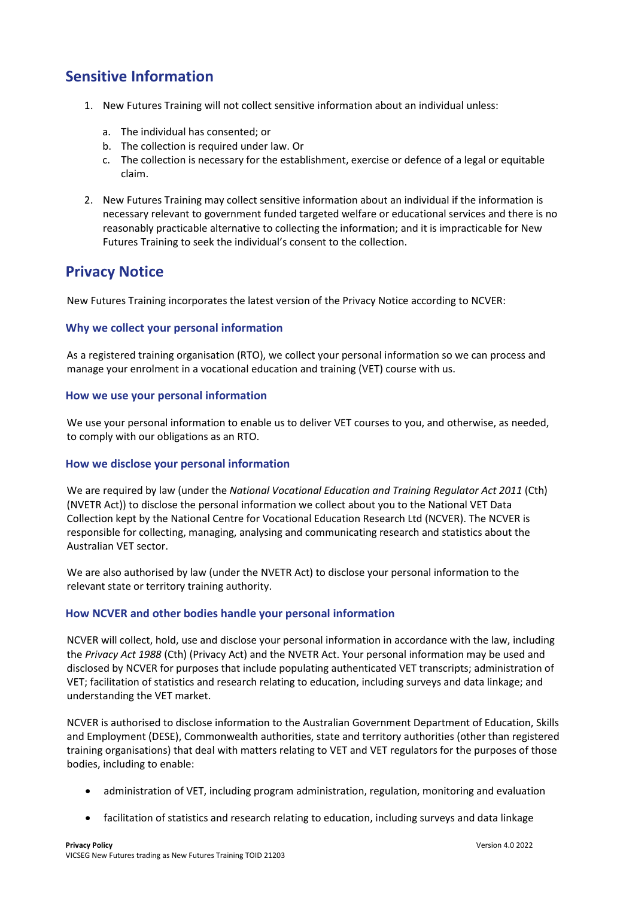# **Sensitive Information**

- 1. New Futures Training will not collect sensitive information about an individual unless:
	- a. The individual has consented; or
	- b. The collection is required under law. Or
	- c. The collection is necessary for the establishment, exercise or defence of a legal or equitable claim.
- 2. New Futures Training may collect sensitive information about an individual if the information is necessary relevant to government funded targeted welfare or educational services and there is no reasonably practicable alternative to collecting the information; and it is impracticable for New Futures Training to seek the individual's consent to the collection.

#### **Privacy Notice**

New Futures Training incorporates the latest version of the Privacy Notice according to NCVER:

#### **Why we collect your personal information**

As a registered training organisation (RTO), we collect your personal information so we can process and manage your enrolment in a vocational education and training (VET) course with us.

#### **How we use your personal information**

We use your personal information to enable us to deliver VET courses to you, and otherwise, as needed, to comply with our obligations as an RTO.

#### **How we disclose your personal information**

We are required by law (under the *National Vocational Education and Training Regulator Act 2011* (Cth) (NVETR Act)) to disclose the personal information we collect about you to the National VET Data Collection kept by the National Centre for Vocational Education Research Ltd (NCVER). The NCVER is responsible for collecting, managing, analysing and communicating research and statistics about the Australian VET sector.

We are also authorised by law (under the NVETR Act) to disclose your personal information to the relevant state or territory training authority.

#### **How NCVER and other bodies handle your personal information**

NCVER will collect, hold, use and disclose your personal information in accordance with the law, including the *Privacy Act 1988* (Cth) (Privacy Act) and the NVETR Act. Your personal information may be used and disclosed by NCVER for purposes that include populating authenticated VET transcripts; administration of VET; facilitation of statistics and research relating to education, including surveys and data linkage; and understanding the VET market.

NCVER is authorised to disclose information to the Australian Government Department of Education, Skills and Employment (DESE), Commonwealth authorities, state and territory authorities (other than registered training organisations) that deal with matters relating to VET and VET regulators for the purposes of those bodies, including to enable:

- administration of VET, including program administration, regulation, monitoring and evaluation
- facilitation of statistics and research relating to education, including surveys and data linkage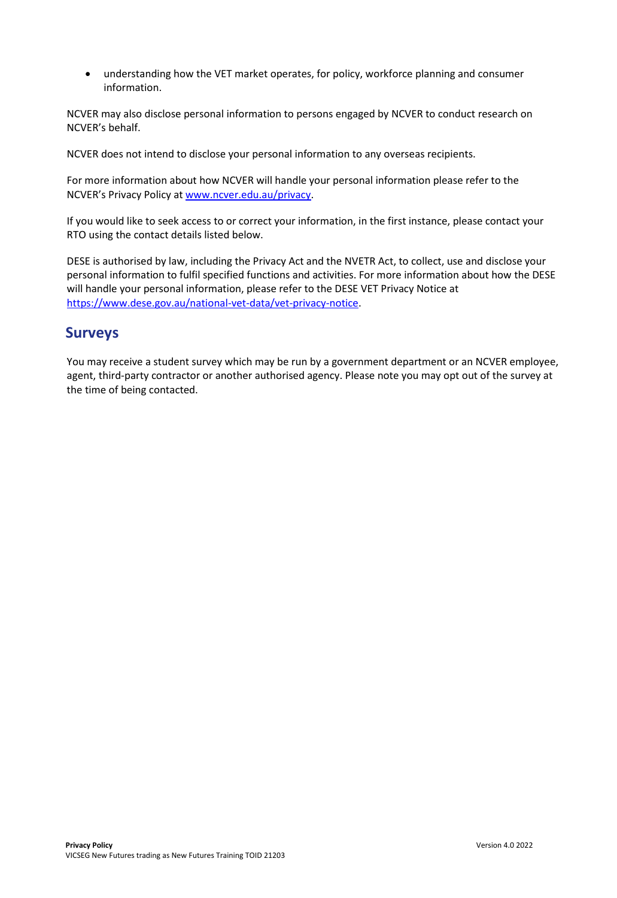• understanding how the VET market operates, for policy, workforce planning and consumer information.

NCVER may also disclose personal information to persons engaged by NCVER to conduct research on NCVER's behalf.

NCVER does not intend to disclose your personal information to any overseas recipients.

For more information about how NCVER will handle your personal information please refer to the NCVER's Privacy Policy at [www.ncver.edu.au/privacy.](http://www.ncver.edu.au/privacy)

If you would like to seek access to or correct your information, in the first instance, please contact your RTO using the contact details listed below.

DESE is authorised by law, including the Privacy Act and the NVETR Act, to collect, use and disclose your personal information to fulfil specified functions and activities. For more information about how the DESE will handle your personal information, please refer to the DESE VET Privacy Notice at [https://www.dese.gov.au/national-vet-data/vet-privacy-notice.](https://www.dese.gov.au/national-vet-data/vet-privacy-notice)

### **Surveys**

You may receive a student survey which may be run by a government department or an NCVER employee, agent, third-party contractor or another authorised agency. Please note you may opt out of the survey at the time of being contacted.